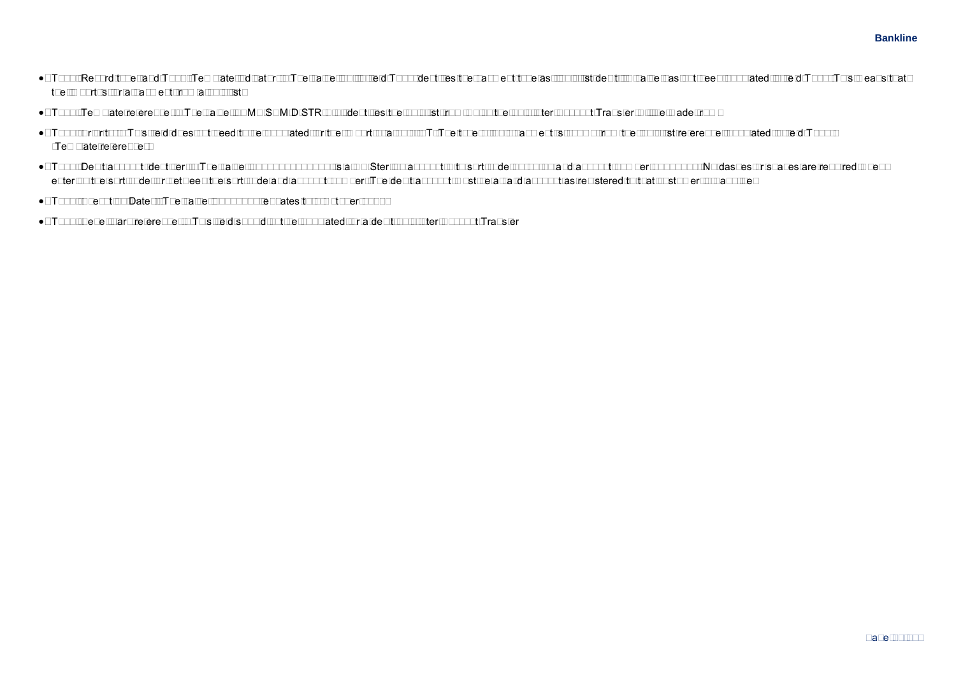- T001 (Record type) and T002 (Template indicator) The value '06' in field T001 identifies the payment type as, 'bulk list debit'. A value has not been populated in field T002. This means that the import is for a payment from a bulk list
- T003 (Template reference) The value 'LUMP SUM DISTRIB 1' identifies the bulk list from which the bulk Inter Account Transfer will be made from
- T008 (Priority) This field does not need to be populated for the import of a bulk IAT. The type of bulk payment is known from the 'bulk list reference' populated in field T003 (Template reference)
- T010 (Debit account identifier) The value '15100031806542' is a UK Sterling account with sort code 15-10-00 and account number 31806542. No dashes or spaces are required when entering the sort code, or between the sort code and account number. The debit account must be a valid account as registered to that customer in Bankline
- T015 (Execution Date) The value '01102006' equates to 1 October 2008
- T034 (Beneficiary reference) This field should not be populated for a debit bulk Inter Account Transfer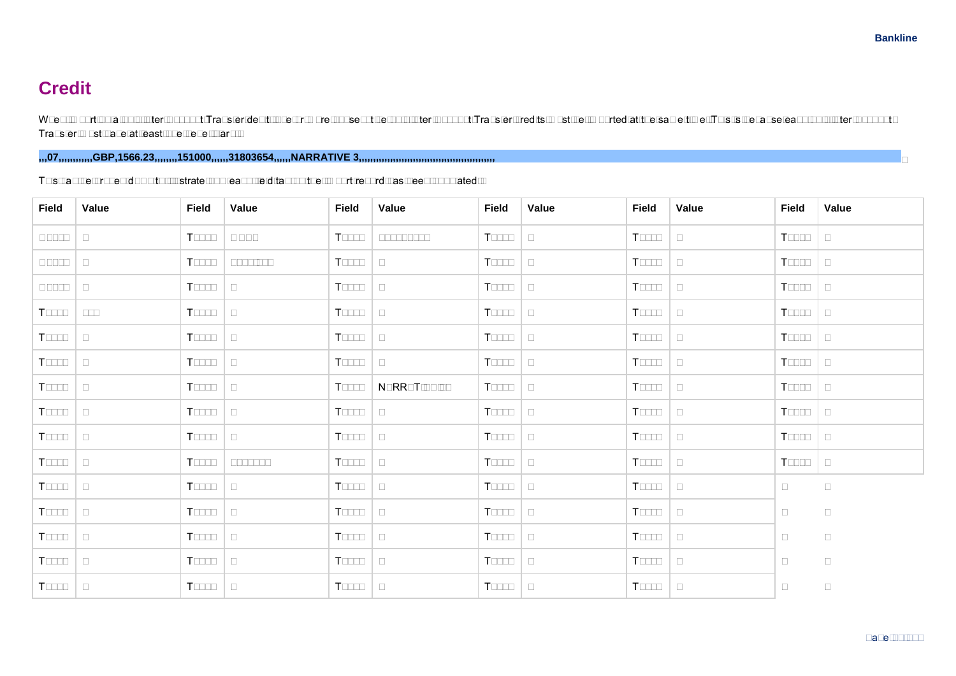## **Credit**

When importing a bulk Inter Account Transfer debit, one or more consecutive bulk Inter Account Transfer credits must be imported at the same time. This is because each bulk Inter Account Transfer must have at least one beneficiary.

**,,,07,,,,,,,,,,,,GBP,1566.23,,,,,,,,151000,,,,,,31803654,,,,,,NARRATIVE 3,,,,,,,,,,,,,,,,,,,,,,,,,,,,,,,,,,,,,,,,,,,,,,,,**

This can be broken down to illustrate how each field tag on the import record has been populated.

| <b>Field</b> | <b>Value</b> | <b>Field</b> | Value      | <b>Field</b> | Value       | <b>Field</b> | Value | <b>Field</b> | Value | Field | Value |
|--------------|--------------|--------------|------------|--------------|-------------|--------------|-------|--------------|-------|-------|-------|
| H001         |              | T013         | <b>GBP</b> | T028         | 31803654    | T043         |       | T058         |       | T073  |       |
| H002         |              | T014         | 1566.23    | T029         |             | T044         |       | T059         |       | T074  |       |
| H003         |              | T015         |            | T030         |             | T045         |       | T060         |       | T075  |       |
| T001         | 07           | T016         |            | T031         |             | T046         |       | T061         |       | T076  |       |
| T002         |              | T017         |            | T032         |             | T047         |       | T062         |       | T077  |       |
| T003         |              | T018         |            | T033         |             | T048         |       | T063         |       | T078  |       |
| T004         |              | T019         |            | T034         | NARRATIVE 3 | T049         |       | T064         |       | T079  |       |
| T005         |              | T020         |            | T035         |             | T050         |       | T065         |       | T080  |       |
| T006         |              | T021         |            | T036         |             | T051         |       | T066         |       | T081  |       |
| T007         |              | T022         | 151000     | T037         |             | T052         |       | T067         |       | T082  |       |
| T008         |              | T023         |            | T038         |             | T053         |       | T068         |       |       |       |
| T009         |              | T024         |            | T039         |             | T054         |       | T069         |       |       |       |
| T010         |              | T025         |            | T040         |             | T055         |       | T070         |       |       |       |
| T011         |              | T026         |            | T041         |             | T056         |       | T071         |       |       |       |
| T012         |              | T027         |            | T042         |             | T057         |       | T072         |       |       |       |